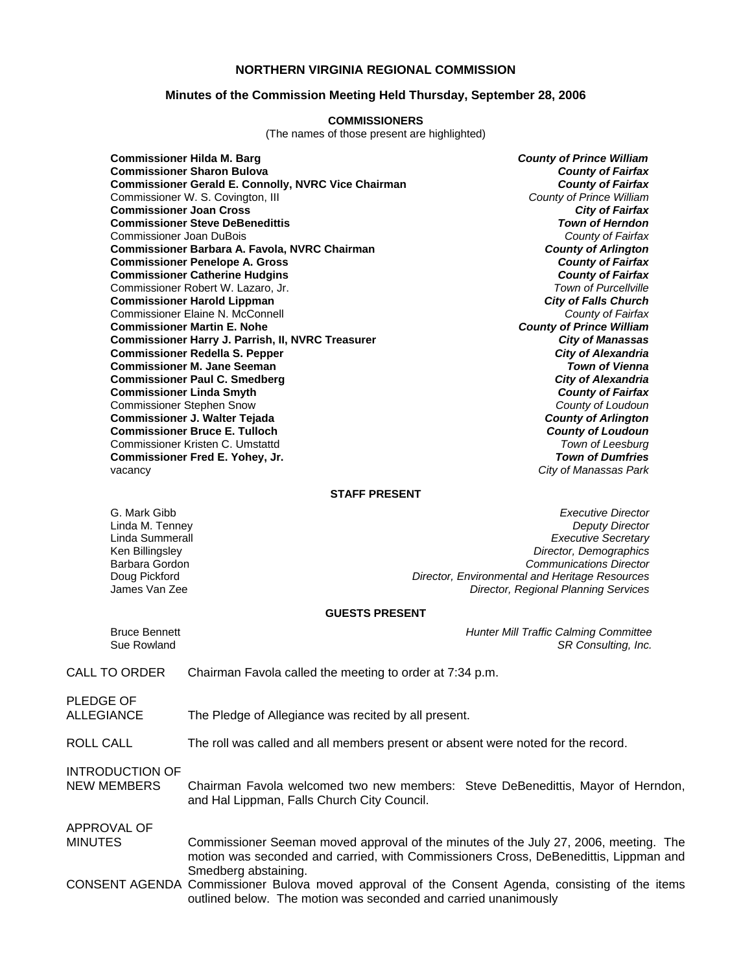# **NORTHERN VIRGINIA REGIONAL COMMISSION**

### **Minutes of the Commission Meeting Held Thursday, September 28, 2006**

#### **COMMISSIONERS**

(The names of those present are highlighted)

**Commissioner Hilda M. Barg** *County of Prince William* **Commissioner Sharon Bulova** *County of Fairfax* **Commissioner Gerald E. Connolly, NVRC Vice Chairman** Commissioner W. S. Covington, III *County of Prince William* **Commissioner Joan Cross** *City of Fairfax* **Commissioner Steve DeBenedittis** *Town of Herndon* Commissioner Joan DuBois *County of Fairfax* **Commissioner Barbara A. Favola, NVRC Chairman** *County of Arlington* **Commissioner Penelope A. Gross** *County of Fairfax* **Commissioner Catherine Hudgins** *County of Fairfax* Commissioner Robert W. Lazaro, Jr. *Town of Purcellville* **Commissioner Harold Lippman** *City of Falls Church* Commissioner Elaine N. McConnell *County of Fairfax* **Commissioner Martin E. Nohe** *County of Prince William* **Commissioner Harry J. Parrish, II, NVRC Treasurer** *City of Manassas* **Commissioner Redella S. Pepper** *City of Alexandria* **Commissioner M. Jane Seeman** *Town of Vienna* **Commissioner Paul C. Smedberg** *City of Alexandria* **Commissioner Linda Smyth** *County of Fairfax* Commissioner Stephen Snow *County of Loudoun* **Commissioner J. Walter Tejada** *County of Arlington* **Commissioner Bruce E. Tulloch** *County of Loudoun* Commissioner Kristen C. Umstattd **Commissioner Fred E. Yohey, Jr.** *Town of Dumfries* vacancy *City of Manassas Park*

### **STAFF PRESENT**

G. Mark Gibb *Executive Director* **Deputy Director** Linda Summerall *Executive Secretary* Ken Billingsley *Director, Demographics* Barbara Gordon *Communications Director* Doug Pickford *Director, Environmental and Heritage Resources* James Van Zee *Director, Regional Planning Services*

#### **GUESTS PRESENT**

Bruce Bennett *Hunter Mill Traffic Calming Committee* Sue Rowland *SR Consulting, Inc.* 

CALL TO ORDER Chairman Favola called the meeting to order at 7:34 p.m.

PLEDGE OF

ALLEGIANCE The Pledge of Allegiance was recited by all present.

ROLL CALL The roll was called and all members present or absent were noted for the record.

INTRODUCTION OF

NEW MEMBERS Chairman Favola welcomed two new members: Steve DeBenedittis, Mayor of Herndon, and Hal Lippman, Falls Church City Council.

APPROVAL OF

MINUTES Commissioner Seeman moved approval of the minutes of the July 27, 2006, meeting. The motion was seconded and carried, with Commissioners Cross, DeBenedittis, Lippman and Smedberg abstaining.

CONSENT AGENDA Commissioner Bulova moved approval of the Consent Agenda, consisting of the items outlined below. The motion was seconded and carried unanimously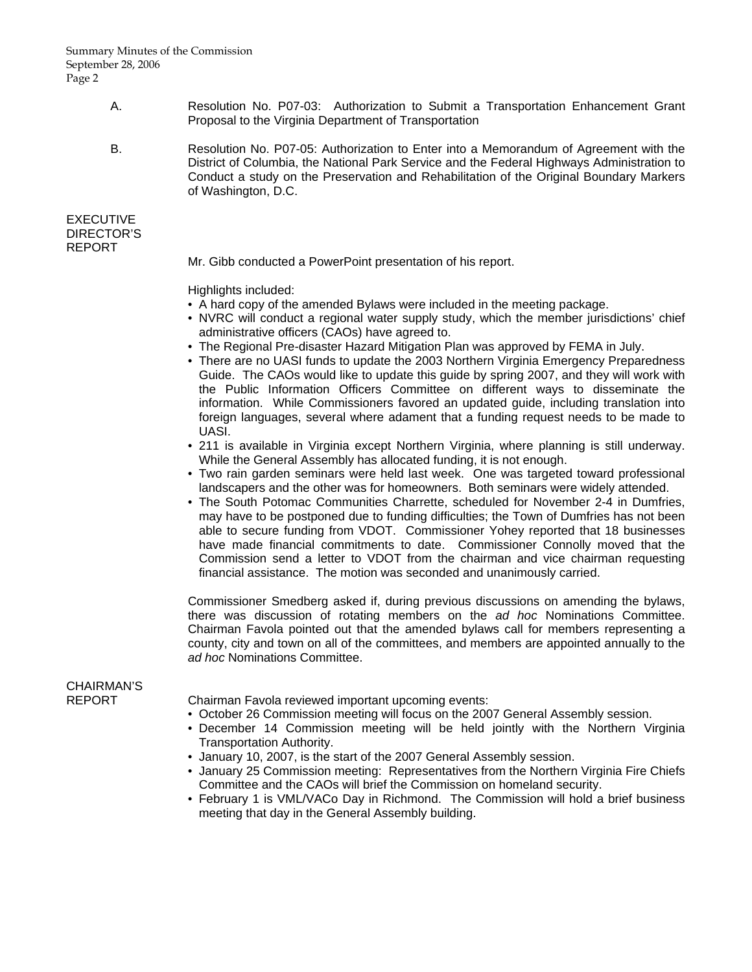- A. Resolution No. P07-03: Authorization to Submit a Transportation Enhancement Grant Proposal to the Virginia Department of Transportation
- B. Resolution No. P07-05: Authorization to Enter into a Memorandum of Agreement with the District of Columbia, the National Park Service and the Federal Highways Administration to Conduct a study on the Preservation and Rehabilitation of the Original Boundary Markers of Washington, D.C.

# EXECUTIVE DIRECTOR'S REPORT

Mr. Gibb conducted a PowerPoint presentation of his report.

Highlights included:

- A hard copy of the amended Bylaws were included in the meeting package.
- NVRC will conduct a regional water supply study, which the member jurisdictions' chief administrative officers (CAOs) have agreed to.
- The Regional Pre-disaster Hazard Mitigation Plan was approved by FEMA in July.
- There are no UASI funds to update the 2003 Northern Virginia Emergency Preparedness Guide. The CAOs would like to update this guide by spring 2007, and they will work with the Public Information Officers Committee on different ways to disseminate the information. While Commissioners favored an updated guide, including translation into foreign languages, several where adament that a funding request needs to be made to UASI.
- 211 is available in Virginia except Northern Virginia, where planning is still underway. While the General Assembly has allocated funding, it is not enough.
- Two rain garden seminars were held last week. One was targeted toward professional landscapers and the other was for homeowners. Both seminars were widely attended.
- The South Potomac Communities Charrette, scheduled for November 2-4 in Dumfries, may have to be postponed due to funding difficulties; the Town of Dumfries has not been able to secure funding from VDOT. Commissioner Yohey reported that 18 businesses have made financial commitments to date. Commissioner Connolly moved that the Commission send a letter to VDOT from the chairman and vice chairman requesting financial assistance. The motion was seconded and unanimously carried.

Commissioner Smedberg asked if, during previous discussions on amending the bylaws, there was discussion of rotating members on the *ad hoc* Nominations Committee. Chairman Favola pointed out that the amended bylaws call for members representing a county, city and town on all of the committees, and members are appointed annually to the *ad hoc* Nominations Committee.

# CHAIRMAN'S

REPORT Chairman Favola reviewed important upcoming events:

- October 26 Commission meeting will focus on the 2007 General Assembly session.
- December 14 Commission meeting will be held jointly with the Northern Virginia Transportation Authority.
- January 10, 2007, is the start of the 2007 General Assembly session.
- January 25 Commission meeting: Representatives from the Northern Virginia Fire Chiefs Committee and the CAOs will brief the Commission on homeland security.
- February 1 is VML/VACo Day in Richmond. The Commission will hold a brief business meeting that day in the General Assembly building.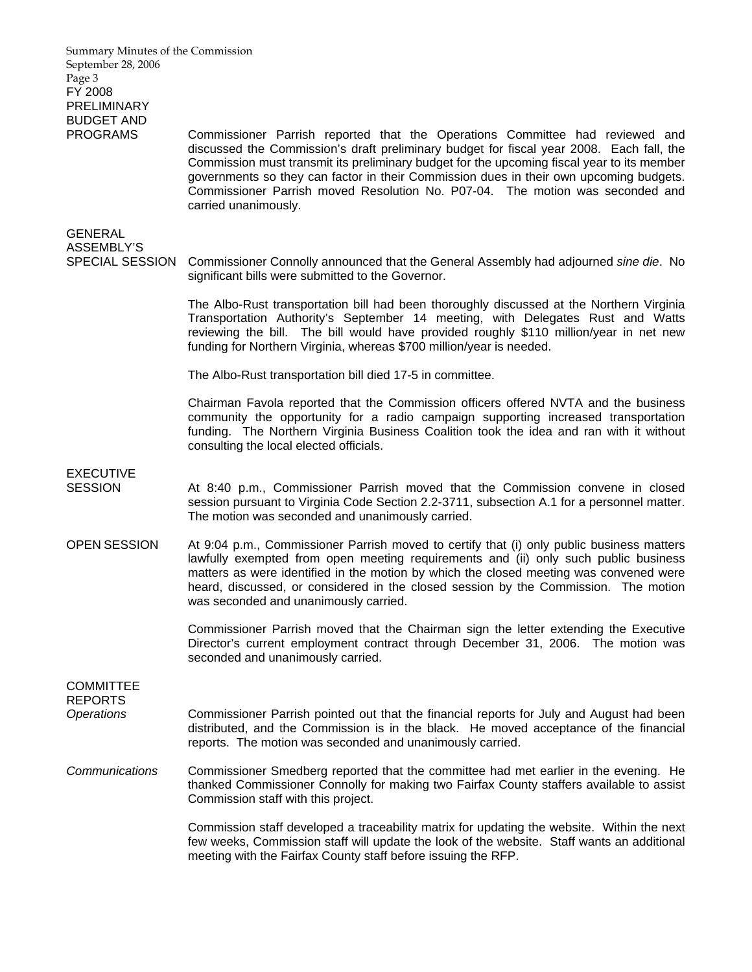| Summary Minutes of the Commission<br>September 28, 2006<br>Page 3<br>FY 2008<br>PRELIMINARY<br><b>BUDGET AND</b> |                                                                                                                                                                                                                                                                                                                                                                                                                                                                           |
|------------------------------------------------------------------------------------------------------------------|---------------------------------------------------------------------------------------------------------------------------------------------------------------------------------------------------------------------------------------------------------------------------------------------------------------------------------------------------------------------------------------------------------------------------------------------------------------------------|
| <b>PROGRAMS</b>                                                                                                  | Commissioner Parrish reported that the Operations Committee had reviewed and<br>discussed the Commission's draft preliminary budget for fiscal year 2008. Each fall, the<br>Commission must transmit its preliminary budget for the upcoming fiscal year to its member<br>governments so they can factor in their Commission dues in their own upcoming budgets.<br>Commissioner Parrish moved Resolution No. P07-04. The motion was seconded and<br>carried unanimously. |
| <b>GENERAL</b><br>ASSEMBLY'S                                                                                     |                                                                                                                                                                                                                                                                                                                                                                                                                                                                           |
| SPECIAL SESSION                                                                                                  | Commissioner Connolly announced that the General Assembly had adjourned sine die. No<br>significant bills were submitted to the Governor.                                                                                                                                                                                                                                                                                                                                 |
|                                                                                                                  | The Albo-Rust transportation bill had been thoroughly discussed at the Northern Virginia<br>Transportation Authority's September 14 meeting, with Delegates Rust and Watts<br>reviewing the bill. The bill would have provided roughly \$110 million/year in net new<br>funding for Northern Virginia, whereas \$700 million/year is needed.                                                                                                                              |
|                                                                                                                  | The Albo-Rust transportation bill died 17-5 in committee.                                                                                                                                                                                                                                                                                                                                                                                                                 |
|                                                                                                                  | Chairman Favola reported that the Commission officers offered NVTA and the business<br>community the opportunity for a radio campaign supporting increased transportation<br>funding. The Northern Virginia Business Coalition took the idea and ran with it without<br>consulting the local elected officials.                                                                                                                                                           |
| <b>EXECUTIVE</b><br><b>SESSION</b>                                                                               | At 8:40 p.m., Commissioner Parrish moved that the Commission convene in closed<br>session pursuant to Virginia Code Section 2.2-3711, subsection A.1 for a personnel matter.<br>The motion was seconded and unanimously carried.                                                                                                                                                                                                                                          |
| <b>OPEN SESSION</b>                                                                                              | At 9:04 p.m., Commissioner Parrish moved to certify that (i) only public business matters<br>lawfully exempted from open meeting requirements and (ii) only such public business<br>matters as were identified in the motion by which the closed meeting was convened were<br>heard, discussed, or considered in the closed session by the Commission. The motion<br>was seconded and unanimously carried.                                                                |
|                                                                                                                  | Commissioner Parrish moved that the Chairman sign the letter extending the Executive<br>Director's current employment contract through December 31, 2006. The motion was<br>seconded and unanimously carried.                                                                                                                                                                                                                                                             |
| <b>COMMITTEE</b><br><b>REPORTS</b>                                                                               |                                                                                                                                                                                                                                                                                                                                                                                                                                                                           |
| <b>Operations</b>                                                                                                | Commissioner Parrish pointed out that the financial reports for July and August had been<br>distributed, and the Commission is in the black. He moved acceptance of the financial<br>reports. The motion was seconded and unanimously carried.                                                                                                                                                                                                                            |
| Communications                                                                                                   | Commissioner Smedberg reported that the committee had met earlier in the evening. He<br>thanked Commissioner Connolly for making two Fairfax County staffers available to assist<br>Commission staff with this project.                                                                                                                                                                                                                                                   |
|                                                                                                                  | Commission staff developed a traceability matrix for updating the website. Within the next<br>few weeks, Commission staff will update the look of the website. Staff wants an additional<br>meeting with the Fairfax County staff before issuing the RFP.                                                                                                                                                                                                                 |